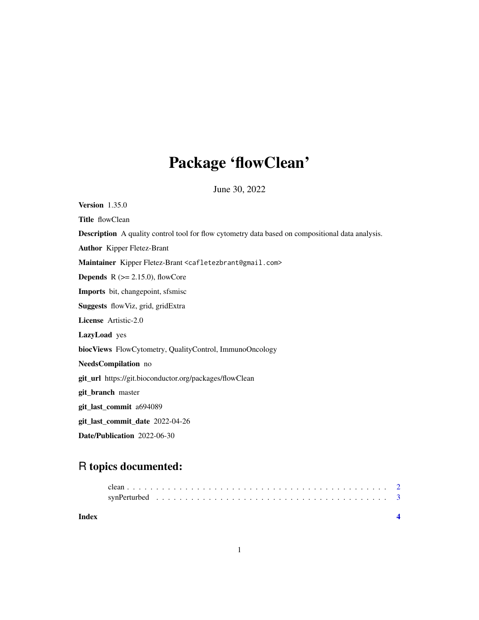## Package 'flowClean'

June 30, 2022

Version 1.35.0 Title flowClean Description A quality control tool for flow cytometry data based on compositional data analysis. Author Kipper Fletez-Brant Maintainer Kipper Fletez-Brant <cafletezbrant@gmail.com> **Depends**  $R$  ( $>= 2.15.0$ ), flowCore Imports bit, changepoint, sfsmisc Suggests flowViz, grid, gridExtra License Artistic-2.0 LazyLoad yes biocViews FlowCytometry, QualityControl, ImmunoOncology NeedsCompilation no git\_url https://git.bioconductor.org/packages/flowClean git\_branch master git\_last\_commit a694089 git\_last\_commit\_date 2022-04-26 Date/Publication 2022-06-30

### R topics documented:

| Index |  |  |  |  |  |  |  |  |  |  |  |  |  |  |  |  |  |
|-------|--|--|--|--|--|--|--|--|--|--|--|--|--|--|--|--|--|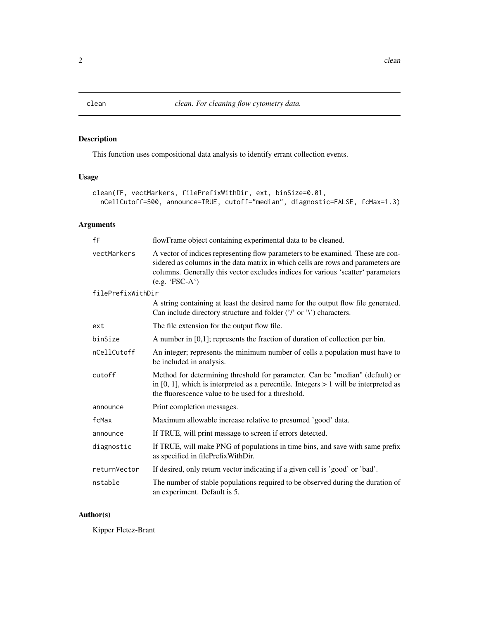<span id="page-1-0"></span>

#### Description

This function uses compositional data analysis to identify errant collection events.

#### Usage

```
clean(fF, vectMarkers, filePrefixWithDir, ext, binSize=0.01,
 nCellCutoff=500, announce=TRUE, cutoff="median", diagnostic=FALSE, fcMax=1.3)
```
#### Arguments

| fF                | flowFrame object containing experimental data to be cleaned.                                                                                                                                                                                                                |  |  |  |  |  |  |  |
|-------------------|-----------------------------------------------------------------------------------------------------------------------------------------------------------------------------------------------------------------------------------------------------------------------------|--|--|--|--|--|--|--|
| vectMarkers       | A vector of indices representing flow parameters to be examined. These are con-<br>sidered as columns in the data matrix in which cells are rows and parameters are<br>columns. Generally this vector excludes indices for various 'scatter' parameters<br>$(e.g. 'FSC-A')$ |  |  |  |  |  |  |  |
| filePrefixWithDir |                                                                                                                                                                                                                                                                             |  |  |  |  |  |  |  |
|                   | A string containing at least the desired name for the output flow file generated.<br>Can include directory structure and folder $(')'$ or '\') characters.                                                                                                                  |  |  |  |  |  |  |  |
| ext               | The file extension for the output flow file.                                                                                                                                                                                                                                |  |  |  |  |  |  |  |
| binSize           | A number in $[0,1]$ ; represents the fraction of duration of collection per bin.                                                                                                                                                                                            |  |  |  |  |  |  |  |
| nCellCutoff       | An integer; represents the minimum number of cells a population must have to<br>be included in analysis.                                                                                                                                                                    |  |  |  |  |  |  |  |
| cutoff            | Method for determining threshold for parameter. Can be "median" (default) or<br>in $[0, 1]$ , which is interpreted as a perecntile. Integers $> 1$ will be interpreted as<br>the fluorescence value to be used for a threshold.                                             |  |  |  |  |  |  |  |
| announce          | Print completion messages.                                                                                                                                                                                                                                                  |  |  |  |  |  |  |  |
| fcMax             | Maximum allowable increase relative to presumed 'good' data.                                                                                                                                                                                                                |  |  |  |  |  |  |  |
| announce          | If TRUE, will print message to screen if errors detected.                                                                                                                                                                                                                   |  |  |  |  |  |  |  |
| diagnostic        | If TRUE, will make PNG of populations in time bins, and save with same prefix<br>as specified in filePrefixWithDir.                                                                                                                                                         |  |  |  |  |  |  |  |
| returnVector      | If desired, only return vector indicating if a given cell is 'good' or 'bad'.                                                                                                                                                                                               |  |  |  |  |  |  |  |
| nstable           | The number of stable populations required to be observed during the duration of<br>an experiment. Default is 5.                                                                                                                                                             |  |  |  |  |  |  |  |

#### Author(s)

Kipper Fletez-Brant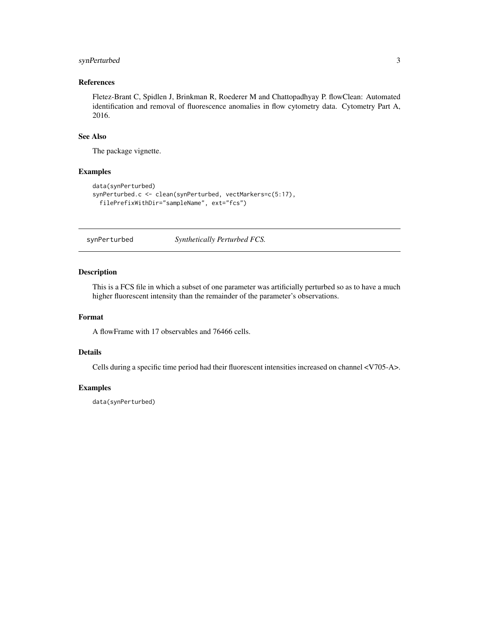#### <span id="page-2-0"></span>synPerturbed 3

#### References

Fletez-Brant C, Spidlen J, Brinkman R, Roederer M and Chattopadhyay P. flowClean: Automated identification and removal of fluorescence anomalies in flow cytometry data. Cytometry Part A, 2016.

#### See Also

The package vignette.

#### Examples

```
data(synPerturbed)
synPerturbed.c <- clean(synPerturbed, vectMarkers=c(5:17),
 filePrefixWithDir="sampleName", ext="fcs")
```
synPerturbed *Synthetically Perturbed FCS.*

#### Description

This is a FCS file in which a subset of one parameter was artificially perturbed so as to have a much higher fluorescent intensity than the remainder of the parameter's observations.

#### Format

A flowFrame with 17 observables and 76466 cells.

#### Details

Cells during a specific time period had their fluorescent intensities increased on channel <V705-A>.

#### Examples

data(synPerturbed)